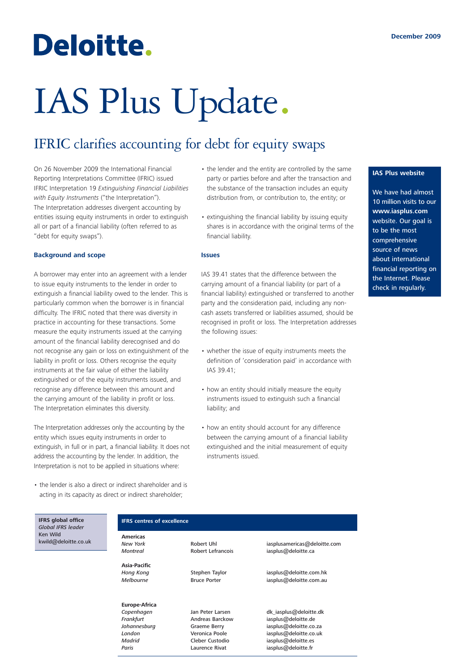## Deloitte.

# IAS Plus Update.

### IFRIC clarifies accounting for debt for equity swaps

On 26 November 2009 the International Financial Reporting Interpretations Committee (IFRIC) issued IFRIC Interpretation 19 *Extinguishing Financial Liabilities with Equity Instruments* ("the Interpretation"). The Interpretation addresses divergent accounting by entities issuing equity instruments in order to extinguish all or part of a financial liability (often referred to as "debt for equity swaps").

#### **Background and scope**

A borrower may enter into an agreement with a lender to issue equity instruments to the lender in order to extinguish a financial liability owed to the lender. This is particularly common when the borrower is in financial difficulty. The IFRIC noted that there was diversity in practice in accounting for these transactions. Some measure the equity instruments issued at the carrying amount of the financial liability derecognised and do not recognise any gain or loss on extinguishment of the liability in profit or loss. Others recognise the equity instruments at the fair value of either the liability extinguished or of the equity instruments issued, and recognise any difference between this amount and the carrying amount of the liability in profit or loss. The Interpretation eliminates this diversity.

The Interpretation addresses only the accounting by the entity which issues equity instruments in order to extinguish, in full or in part, a financial liability. It does not address the accounting by the lender. In addition, the Interpretation is not to be applied in situations where:

• the lender is also a direct or indirect shareholder and is acting in its capacity as direct or indirect shareholder;

- the lender and the entity are controlled by the same party or parties before and after the transaction and the substance of the transaction includes an equity distribution from, or contribution to, the entity; or
- extinguishing the financial liability by issuing equity shares is in accordance with the original terms of the financial liability.

#### **Issues**

IAS 39.41 states that the difference between the carrying amount of a financial liability (or part of a financial liability) extinguished or transferred to another party and the consideration paid, including any noncash assets transferred or liabilities assumed, should be recognised in profit or loss. The Interpretation addresses the following issues:

- whether the issue of equity instruments meets the definition of 'consideration paid' in accordance with IAS 39.41;
- how an entity should initially measure the equity instruments issued to extinguish such a financial liability; and
- how an entity should account for any difference between the carrying amount of a financial liability extinguished and the initial measurement of equity instruments issued.

#### **IAS Plus website**

We have had almost 10 million visits to our **www.iasplus.com** website. Our goal is to be the most comprehensive source of news about international financial reporting on the Internet. Please check in regularly.

#### **IFRS centres of excellence**

**Americas**

**Asia-Pacific**

**Europe-Africa**

*New York* Robert Uhl iasplusamericas@deloitte.com *Montreal* Robert Lefrancois iasplus@deloitte.ca

**Hong Kong** Stephen Taylor iasplus@deloitte.com.hk *Melbourne* Bruce Porter iasplus@deloitte.com.au

*Copenhagen* Jan Peter Larsen dk\_iasplus@deloitte.dk *Frankfurt* Andreas Barckow iasplus@deloitte.de *Johannesburg* Graeme Berry iasplus@deloitte.co.za<br>
London **iasplus@deloitte.co.uk** Veronica Poole isplus@deloitte.co.uk **London Veronica Poole** iasplus@deloitte.co.uk<br>
Madrid Cleber Custodio iasplus@deloitte.es *iasplus@deloitte.es* Paris **Paris** Laurence Rivat iasplus@deloitte.fr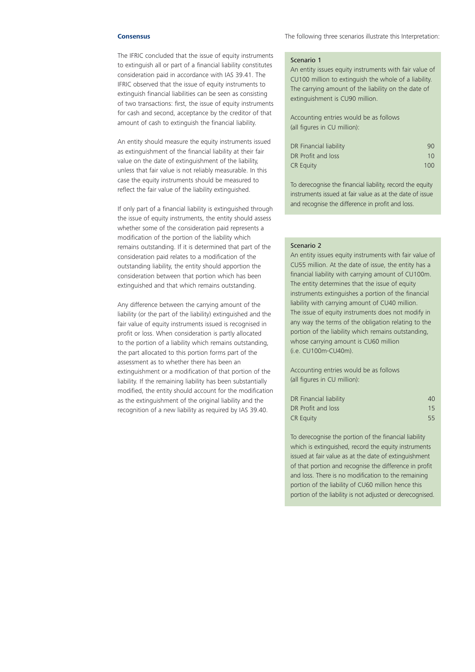#### **Consensus**

The IFRIC concluded that the issue of equity instruments to extinguish all or part of a financial liability constitutes consideration paid in accordance with IAS 39.41. The IFRIC observed that the issue of equity instruments to extinguish financial liabilities can be seen as consisting of two transactions: first, the issue of equity instruments for cash and second, acceptance by the creditor of that amount of cash to extinguish the financial liability.

An entity should measure the equity instruments issued as extinguishment of the financial liability at their fair value on the date of extinguishment of the liability, unless that fair value is not reliably measurable. In this case the equity instruments should be measured to reflect the fair value of the liability extinguished.

If only part of a financial liability is extinguished through the issue of equity instruments, the entity should assess whether some of the consideration paid represents a modification of the portion of the liability which remains outstanding. If it is determined that part of the consideration paid relates to a modification of the outstanding liability, the entity should apportion the consideration between that portion which has been extinguished and that which remains outstanding.

Any difference between the carrying amount of the liability (or the part of the liability) extinguished and the fair value of equity instruments issued is recognised in profit or loss. When consideration is partly allocated to the portion of a liability which remains outstanding, the part allocated to this portion forms part of the assessment as to whether there has been an extinguishment or a modification of that portion of the liability. If the remaining liability has been substantially modified, the entity should account for the modification as the extinguishment of the original liability and the recognition of a new liability as required by IAS 39.40.

The following three scenarios illustrate this Interpretation:

#### Scenario 1

An entity issues equity instruments with fair value of CU100 million to extinguish the whole of a liability. The carrying amount of the liability on the date of extinguishment is CU90 million.

Accounting entries would be as follows (all figures in CU million):

| DR Financial liability | 90  |
|------------------------|-----|
| DR Profit and loss     | 10  |
| <b>CR Equity</b>       | 100 |

To derecognise the financial liability, record the equity instruments issued at fair value as at the date of issue and recognise the difference in profit and loss.

#### Scenario 2

An entity issues equity instruments with fair value of CU55 million. At the date of issue, the entity has a financial liability with carrying amount of CU100m. The entity determines that the issue of equity instruments extinguishes a portion of the financial liability with carrying amount of CU40 million. The issue of equity instruments does not modify in any way the terms of the obligation relating to the portion of the liability which remains outstanding, whose carrying amount is CU60 million (i.e. CU100m-CU40m).

Accounting entries would be as follows (all figures in CU million):

| DR Financial liability | 40 |
|------------------------|----|
| DR Profit and loss     | 15 |
| <b>CR Equity</b>       | 55 |

To derecognise the portion of the financial liability which is extinguished, record the equity instruments issued at fair value as at the date of extinguishment of that portion and recognise the difference in profit and loss. There is no modification to the remaining portion of the liability of CU60 million hence this portion of the liability is not adjusted or derecognised.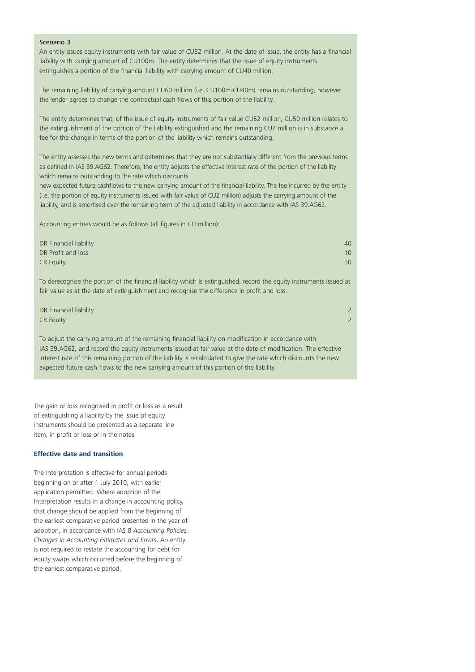#### Scenario 3

An entity issues equity instruments with fair value of CU52 million. At the date of issue, the entity has a financial liability with carrying amount of CU100m. The entity determines that the issue of equity instruments extinguishes a portion of the financial liability with carrying amount of CU40 million.

The remaining liability of carrying amount CU60 million (i.e. CU100m-CU40m) remains outstanding, however the lender agrees to change the contractual cash flows of this portion of the liability.

The entity determines that, of the issue of equity instruments of fair value CU52 million, CU50 million relates to the extinguishment of the portion of the liability extinguished and the remaining CU2 million is in substance a fee for the change in terms of the portion of the liability which remains outstanding.

The entity assesses the new terms and determines that they are not substantially different from the previous terms as defined in IAS 39.AG62. Therefore, the entity adjusts the effective interest rate of the portion of the liability which remains outstanding to the rate which discounts

new expected future cashflows to the new carrying amount of the financial liability. The fee incurred by the entity (i.e. the portion of equity instruments issued with fair value of CU2 million) adjusts the carrying amount of the liability, and is amortised over the remaining term of the adjusted liability in accordance with IAS 39.AG62.

Accounting entries would be as follows (all figures in CU million):

| DR Financial liability                                                                                                                                                                                               | 40 |
|----------------------------------------------------------------------------------------------------------------------------------------------------------------------------------------------------------------------|----|
| DR Profit and loss                                                                                                                                                                                                   | 10 |
| <b>CR Equity</b>                                                                                                                                                                                                     | 50 |
| To derecognise the portion of the financial liability which is extinguished, record the equity instruments issued at<br>fair value as at the date of extinguishment and recognise the difference in profit and loss. |    |
| DR Financial liability                                                                                                                                                                                               |    |
| <b>CR Equity</b>                                                                                                                                                                                                     |    |

To adjust the carrying amount of the remaining financial liability on modification in accordance with IAS 39.AG62, and record the equity instruments issued at fair value at the date of modification. The effective interest rate of this remaining portion of the liability is recalculated to give the rate which discounts the new expected future cash flows to the new carrying amount of this portion of the liability.

The gain or loss recognised in profit or loss as a result of extinguishing a liability by the issue of equity instruments should be presented as a separate line item, in profit or loss or in the notes.

#### **Effective date and transition**

The Interpretation is effective for annual periods beginning on or after 1 July 2010, with earlier application permitted. Where adoption of the Interpretation results in a change in accounting policy, that change should be applied from the beginning of the earliest comparative period presented in the year of adoption, in accordance with IAS 8 *Accounting Policies, Changes in Accounting Estimates and Errors*. An entity is not required to restate the accounting for debt for equity swaps which occurred before the beginning of the earliest comparative period.